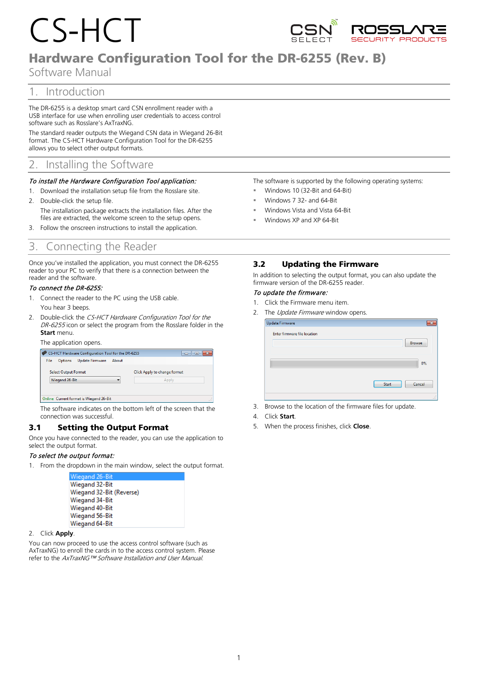# CS-HCT



# Hardware Configuration Tool for the DR-6255 (Rev. B)

Software Manual

# 1. Introduction

The DR‐6255 is a desktop smart card CSN enrollment reader with a USB interface for use when enrolling user credentials to access control software such as Rosslare's AxTraxNG.

The standard reader outputs the Wiegand CSN data in Wiegand 26-Bit format. The CS-HCT Hardware Configuration Tool for the DR-6255 allows you to select other output formats.

# 2. Installing the Software

#### To install the Hardware Configuration Tool application:

- 1. Download the installation setup file from the Rosslare site.
- 2. Double-click the setup file. The installation package extracts the installation files. After the files are extracted, the welcome screen to the setup opens.
- 3. Follow the onscreen instructions to install the application.

## 3. Connecting the Reader

Once you've installed the application, you must connect the DR-6255 reader to your PC to verify that there is a connection between the reader and the software.

#### To connect the DR-6255:

- 1. Connect the reader to the PC using the USB cable. You hear 3 beeps.
- 2. Double-click the CS-HCT Hardware Configuration Tool for the DR-6255 icon or select the program from the Rosslare folder in the **Start** menu.

#### The application opens.

| CS-HCT Hardware Configuration Tool for the DR-6255      | $\Box$                       |
|---------------------------------------------------------|------------------------------|
| <b>File</b><br><b>Update Firmware</b><br><b>Options</b> | About                        |
| <b>Select Output Format</b>                             | Click Apply to change format |
| Wiegand 26-Bit                                          | Apply                        |
|                                                         |                              |
| Online Current format is Wiegand 26-Bit                 |                              |

The software indicates on the bottom left of the screen that the connection was successful.

## 3.1 Setting the Output Format

Once you have connected to the reader, you can use the application to select the output format.

#### To select the output format:

1. From the dropdown in the main window, select the output format.

| Wiegand 26-Bit           |
|--------------------------|
| Wiegand 32-Bit           |
| Wiegand 32-Bit (Reverse) |
| Wiegand 34-Bit           |
| Wiegand 40-Bit           |
| Wiegand 56-Bit           |
| Wiegand 64-Bit           |

#### 2. Click **Apply**.

You can now proceed to use the access control software (such as AxTraxNG) to enroll the cards in to the access control system. Please refer to the AxTraxNG™ Software Installation and User Manual.

The software is supported by the following operating systems:

- Windows 10 (32-Bit and 64-Bit)
- Windows 7 32- and 64-Bit
- Windows Vista and Vista 64-Bit
- Windows XP and XP 64-Bit

### 3.2 Updating the Firmware

In addition to selecting the output format, you can also update the firmware version of the DR-6255 reader.

#### To update the firmware:

- 1. Click the Firmware menu item.
- 2. The Update Firmware window opens.

| <b>Update Firmware</b><br>Enter firmware file location | $\overline{\mathbf{x}}$ |
|--------------------------------------------------------|-------------------------|
|                                                        | <b>Browse</b>           |
|                                                        | 0%                      |
|                                                        | Cancel<br>Start         |
|                                                        |                         |

3. Browse to the location of the firmware files for update.

#### 4. Click **Start**.

5. When the process finishes, click **Close**.